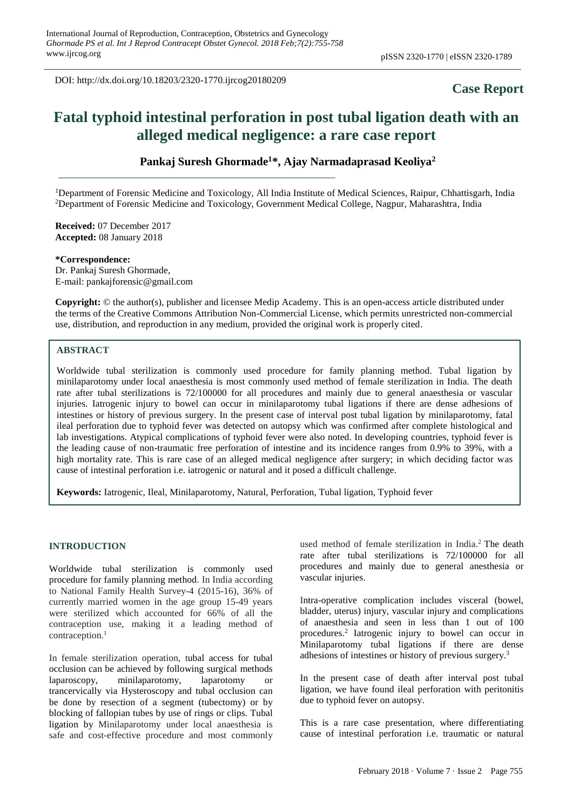DOI: http://dx.doi.org/10.18203/2320-1770.ijrcog20180209

# **Case Report**

# **Fatal typhoid intestinal perforation in post tubal ligation death with an alleged medical negligence: a rare case report**

**Pankaj Suresh Ghormade<sup>1</sup>\*, Ajay Narmadaprasad Keoliya<sup>2</sup>**

<sup>1</sup>Department of Forensic Medicine and Toxicology, All India Institute of Medical Sciences, Raipur, Chhattisgarh, India <sup>2</sup>Department of Forensic Medicine and Toxicology, Government Medical College, Nagpur, Maharashtra, India

**Received:** 07 December 2017 **Accepted:** 08 January 2018

**\*Correspondence:** Dr. Pankaj Suresh Ghormade, E-mail: pankajforensic@gmail.com

**Copyright:** © the author(s), publisher and licensee Medip Academy. This is an open-access article distributed under the terms of the Creative Commons Attribution Non-Commercial License, which permits unrestricted non-commercial use, distribution, and reproduction in any medium, provided the original work is properly cited.

# **ABSTRACT**

Worldwide tubal sterilization is commonly used procedure for family planning method. Tubal ligation by minilaparotomy under local anaesthesia is most commonly used method of female sterilization in India. The death rate after tubal sterilizations is 72/100000 for all procedures and mainly due to general anaesthesia or vascular injuries. Iatrogenic injury to bowel can occur in minilaparotomy tubal ligations if there are dense adhesions of intestines or history of previous surgery. In the present case of interval post tubal ligation by minilaparotomy, fatal ileal perforation due to typhoid fever was detected on autopsy which was confirmed after complete histological and lab investigations. Atypical complications of typhoid fever were also noted. In developing countries, typhoid fever is the leading cause of non-traumatic free perforation of intestine and its incidence ranges from 0.9% to 39%, with a high mortality rate. This is rare case of an alleged medical negligence after surgery; in which deciding factor was cause of intestinal perforation i.e. iatrogenic or natural and it posed a difficult challenge.

**Keywords:** Iatrogenic, Ileal, Minilaparotomy, Natural, Perforation, Tubal ligation, Typhoid fever

#### **INTRODUCTION**

Worldwide tubal sterilization is commonly used procedure for family planning method. In India according to National Family Health Survey-4 (2015-16), 36% of currently married women in the age group 15-49 years were sterilized which accounted for 66% of all the contraception use, making it a leading method of contraception.<sup>1</sup>

In female sterilization operation, tubal access for tubal occlusion can be achieved by following surgical methods laparoscopy, minilaparotomy, laparotomy or trancervically via Hysteroscopy and tubal occlusion can be done by resection of a segment (tubectomy) or by blocking of fallopian tubes by use of rings or clips. Tubal ligation by Minilaparotomy under local anaesthesia is safe and cost-effective procedure and most commonly used method of female sterilization in India.<sup>2</sup> The death rate after tubal sterilizations is 72/100000 for all procedures and mainly due to general anesthesia or vascular injuries.

Intra-operative complication includes visceral (bowel, bladder, uterus) injury, vascular injury and complications of anaesthesia and seen in less than 1 out of 100 procedures.<sup>2</sup> Iatrogenic injury to bowel can occur in Minilaparotomy tubal ligations if there are dense adhesions of intestines or history of previous surgery.<sup>3</sup>

In the present case of death after interval post tubal ligation, we have found ileal perforation with peritonitis due to typhoid fever on autopsy.

This is a rare case presentation, where differentiating cause of intestinal perforation i.e. traumatic or natural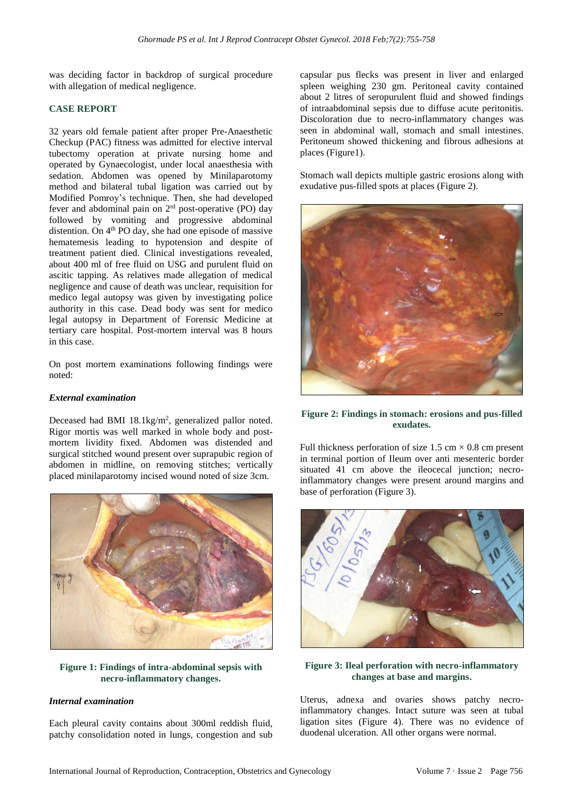was deciding factor in backdrop of surgical procedure with allegation of medical negligence.

# **CASE REPORT**

32 years old female patient after proper Pre-Anaesthetic Checkup (PAC) fitness was admitted for elective interval tubectomy operation at private nursing home and operated by Gynaecologist, under local anaesthesia with sedation. Abdomen was opened by Minilaparotomy method and bilateral tubal ligation was carried out by Modified Pomroy's technique. Then, she had developed fever and abdominal pain on 2<sup>rd</sup> post-operative (PO) day followed by vomiting and progressive abdominal distention. On 4<sup>th</sup> PO day, she had one episode of massive hematemesis leading to hypotension and despite of treatment patient died. Clinical investigations revealed, about 400 ml of free fluid on USG and purulent fluid on ascitic tapping. As relatives made allegation of medical negligence and cause of death was unclear, requisition for medico legal autopsy was given by investigating police authority in this case. Dead body was sent for medico legal autopsy in Department of Forensic Medicine at tertiary care hospital. Post-mortem interval was 8 hours in this case.

On post mortem examinations following findings were noted:

#### *External examination*

Deceased had BMI 18.1kg/m<sup>2</sup>, generalized pallor noted. Rigor mortis was well marked in whole body and postmortem lividity fixed. Abdomen was distended and surgical stitched wound present over suprapubic region of abdomen in midline, on removing stitches; vertically placed minilaparotomy incised wound noted of size 3cm.



**Figure 1: Findings of intra-abdominal sepsis with necro-inflammatory changes.**

#### *Internal examination*

Each pleural cavity contains about 300ml reddish fluid, patchy consolidation noted in lungs, congestion and sub capsular pus flecks was present in liver and enlarged spleen weighing 230 gm. Peritoneal cavity contained about 2 litres of seropurulent fluid and showed findings of intraabdominal sepsis due to diffuse acute peritonitis. Discoloration due to necro-inflammatory changes was seen in abdominal wall, stomach and small intestines. Peritoneum showed thickening and fibrous adhesions at places (Figure1).

Stomach wall depicts multiple gastric erosions along with exudative pus-filled spots at places (Figure 2).



# **Figure 2: Findings in stomach: erosions and pus-filled exudates.**

Full thickness perforation of size  $1.5 \text{ cm} \times 0.8 \text{ cm}$  present in terminal portion of Ileum over anti mesenteric border situated 41 cm above the ileocecal junction; necroinflammatory changes were present around margins and base of perforation (Figure 3).



**Figure 3: Ileal perforation with necro-inflammatory changes at base and margins.**

Uterus, adnexa and ovaries shows patchy necroinflammatory changes. Intact suture was seen at tubal ligation sites (Figure 4). There was no evidence of duodenal ulceration. All other organs were normal.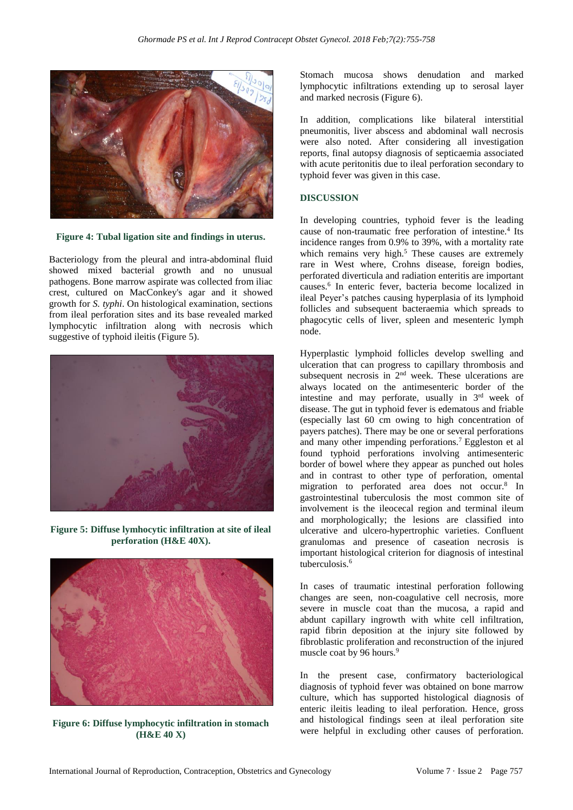

**Figure 4: Tubal ligation site and findings in uterus.**

Bacteriology from the pleural and intra-abdominal fluid showed mixed bacterial growth and no unusual pathogens. Bone marrow aspirate was collected from iliac crest, cultured on MacConkey's agar and it showed growth for *S. typhi*. On histological examination, sections from ileal perforation sites and its base revealed marked lymphocytic infiltration along with necrosis which suggestive of typhoid ileitis (Figure 5).



**Figure 5: Diffuse lymhocytic infiltration at site of ileal perforation (H&E 40X).**



**Figure 6: Diffuse lymphocytic infiltration in stomach (H&E 40 X)**

Stomach mucosa shows denudation and marked lymphocytic infiltrations extending up to serosal layer and marked necrosis (Figure 6).

In addition, complications like bilateral interstitial pneumonitis, liver abscess and abdominal wall necrosis were also noted. After considering all investigation reports, final autopsy diagnosis of septicaemia associated with acute peritonitis due to ileal perforation secondary to typhoid fever was given in this case.

# **DISCUSSION**

In developing countries, typhoid fever is the leading cause of non-traumatic free perforation of intestine.<sup>4</sup> Its incidence ranges from 0.9% to 39%, with a mortality rate which remains very high.<sup>5</sup> These causes are extremely rare in West where, Crohns disease, foreign bodies, perforated diverticula and radiation enteritis are important causes.<sup>6</sup> In enteric fever, bacteria become localized in ileal Peyer's patches causing hyperplasia of its lymphoid follicles and subsequent bacteraemia which spreads to phagocytic cells of liver, spleen and mesenteric lymph node.

Hyperplastic lymphoid follicles develop swelling and ulceration that can progress to capillary thrombosis and subsequent necrosis in  $2<sup>nd</sup>$  week. These ulcerations are always located on the antimesenteric border of the intestine and may perforate, usually in 3<sup>rd</sup> week of disease. The gut in typhoid fever is edematous and friable (especially last 60 cm owing to high concentration of payers patches). There may be one or several perforations and many other impending perforations.<sup>7</sup>Eggleston et al found typhoid perforations involving antimesenteric border of bowel where they appear as punched out holes and in contrast to other type of perforation, omental migration to perforated area does not occur.<sup>8</sup> In gastrointestinal tuberculosis the most common site of involvement is the ileocecal region and terminal ileum and morphologically; the lesions are classified into ulcerative and ulcero-hypertrophic varieties. Confluent granulomas and presence of caseation necrosis is important histological criterion for diagnosis of intestinal tuberculosis.<sup>6</sup>

In cases of traumatic intestinal perforation following changes are seen, non-coagulative cell necrosis, more severe in muscle coat than the mucosa, a rapid and abdunt capillary ingrowth with white cell infiltration, rapid fibrin deposition at the injury site followed by fibroblastic proliferation and reconstruction of the injured muscle coat by 96 hours.<sup>9</sup>

In the present case, confirmatory bacteriological diagnosis of typhoid fever was obtained on bone marrow culture, which has supported histological diagnosis of enteric ileitis leading to ileal perforation. Hence, gross and histological findings seen at ileal perforation site were helpful in excluding other causes of perforation.